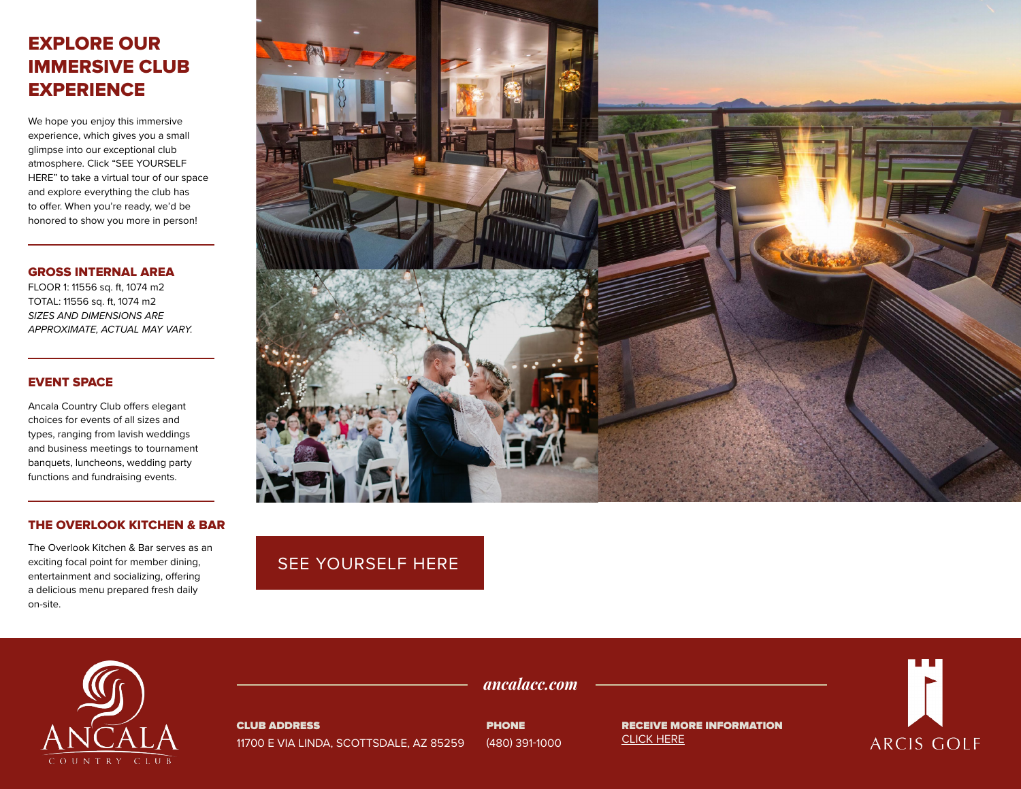# EXPLORE OUR IMMERSIVE CLUB **EXPERIENCE**

We hope you enjoy this immersive experience, which gives you a small glimpse into our exceptional club atmosphere. Click "SEE YOURSELF HERE" to take a virtual tour of our space and explore everything the club has to offer. When you're ready, we'd be honored to show you more in person!

#### GROSS INTERNAL AREA

FLOOR 1: 11556 sq. ft, 1074 m2 TOTAL: 11556 sq. ft, 1074 m2 *SIZES AND DIMENSIONS ARE APPROXIMATE, ACTUAL MAY VARY.*

### EVENT SPACE

Ancala Country Club offers elegant choices for events of all sizes and types, ranging from lavish weddings and business meetings to tournament banquets, luncheons, wedding party functions and fundraising events.

### THE OVERLOOK KITCHEN & BAR

The Overlook Kitchen & Bar serves as an exciting focal point for member dining, entertainment and socializing, offering a delicious menu prepared fresh daily on-site.



## [SEE YOURSELF HERE](https://visitingmedia.com/tt8/?ttid=ancala-country-club#/3d-model)

![](_page_0_Picture_10.jpeg)

CLUB ADDRESS 11700 E VIA LINDA, SCOTTSDALE, AZ 85259

PHONE (480) 391-1000

*ancalacc.com*

RECEIVE MORE INFORMATION [CLICK HERE](https://www.ancalacc.com/private-events-vm)

![](_page_0_Picture_14.jpeg)